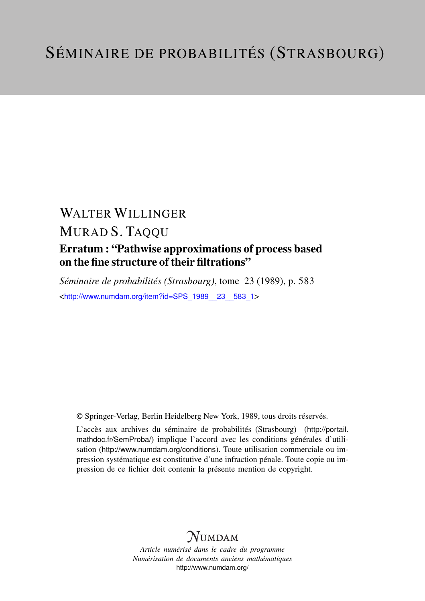## WALTER WILLINGER MURAD S. TAQQU

## Erratum : "Pathwise approximations of process based on the fine structure of their filtrations"

*Séminaire de probabilités (Strasbourg)*, tome 23 (1989), p. 583 <[http://www.numdam.org/item?id=SPS\\_1989\\_\\_23\\_\\_583\\_1](http://www.numdam.org/item?id=SPS_1989__23__583_1)>

© Springer-Verlag, Berlin Heidelberg New York, 1989, tous droits réservés.

L'accès aux archives du séminaire de probabilités (Strasbourg) ([http://portail.](http://portail.mathdoc.fr/SemProba/) [mathdoc.fr/SemProba/](http://portail.mathdoc.fr/SemProba/)) implique l'accord avec les conditions générales d'utilisation (<http://www.numdam.org/conditions>). Toute utilisation commerciale ou impression systématique est constitutive d'une infraction pénale. Toute copie ou impression de ce fichier doit contenir la présente mention de copyright.

## **NUMDAM**

*Article numérisé dans le cadre du programme Numérisation de documents anciens mathématiques* <http://www.numdam.org/>